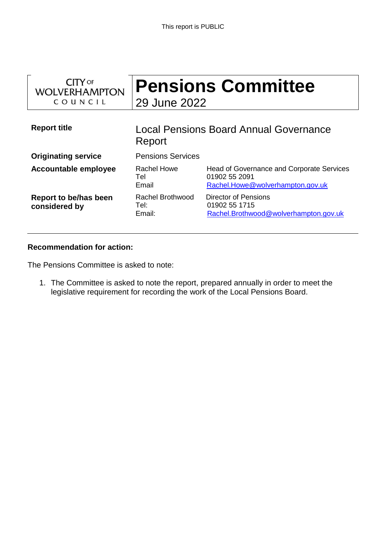| <b>CITY OF</b><br><b>WOLVERHAMPTON</b><br>COUNCIL | <b>Pensions Committee</b><br>29 June 2022        |                                                                                                |
|---------------------------------------------------|--------------------------------------------------|------------------------------------------------------------------------------------------------|
| <b>Report title</b>                               | Local Pensions Board Annual Governance<br>Report |                                                                                                |
| <b>Originating service</b>                        | <b>Pensions Services</b>                         |                                                                                                |
| <b>Accountable employee</b>                       | <b>Rachel Howe</b><br>Tel<br>Email               | Head of Governance and Corporate Services<br>01902 55 2091<br>Rachel.Howe@wolverhampton.gov.uk |
| Report to be/has been<br>considered by            | Rachel Brothwood<br>Tel:<br>Email:               | Director of Pensions<br>01902 55 1715<br>Rachel.Brothwood@wolverhampton.gov.uk                 |

## **Recommendation for action:**

The Pensions Committee is asked to note:

1. The Committee is asked to note the report, prepared annually in order to meet the legislative requirement for recording the work of the Local Pensions Board.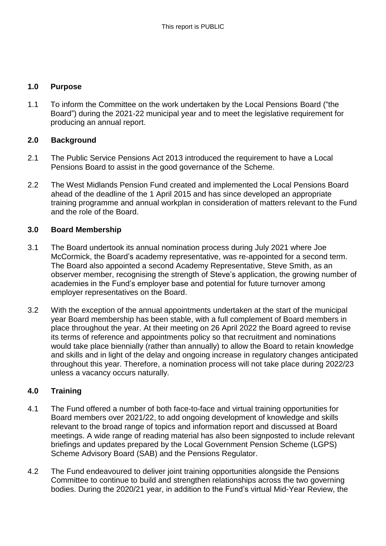## **1.0 Purpose**

1.1 To inform the Committee on the work undertaken by the Local Pensions Board ("the Board") during the 2021-22 municipal year and to meet the legislative requirement for producing an annual report.

## **2.0 Background**

- 2.1 The Public Service Pensions Act 2013 introduced the requirement to have a Local Pensions Board to assist in the good governance of the Scheme.
- 2.2 The West Midlands Pension Fund created and implemented the Local Pensions Board ahead of the deadline of the 1 April 2015 and has since developed an appropriate training programme and annual workplan in consideration of matters relevant to the Fund and the role of the Board.

## **3.0 Board Membership**

- 3.1 The Board undertook its annual nomination process during July 2021 where Joe McCormick, the Board's academy representative, was re-appointed for a second term. The Board also appointed a second Academy Representative, Steve Smith, as an observer member, recognising the strength of Steve's application, the growing number of academies in the Fund's employer base and potential for future turnover among employer representatives on the Board.
- 3.2 With the exception of the annual appointments undertaken at the start of the municipal year Board membership has been stable, with a full complement of Board members in place throughout the year. At their meeting on 26 April 2022 the Board agreed to revise its terms of reference and appointments policy so that recruitment and nominations would take place biennially (rather than annually) to allow the Board to retain knowledge and skills and in light of the delay and ongoing increase in regulatory changes anticipated throughout this year. Therefore, a nomination process will not take place during 2022/23 unless a vacancy occurs naturally.

# **4.0 Training**

- 4.1 The Fund offered a number of both face-to-face and virtual training opportunities for Board members over 2021/22, to add ongoing development of knowledge and skills relevant to the broad range of topics and information report and discussed at Board meetings. A wide range of reading material has also been signposted to include relevant briefings and updates prepared by the Local Government Pension Scheme (LGPS) Scheme Advisory Board (SAB) and the Pensions Regulator.
- 4.2 The Fund endeavoured to deliver joint training opportunities alongside the Pensions Committee to continue to build and strengthen relationships across the two governing bodies. During the 2020/21 year, in addition to the Fund's virtual Mid-Year Review, the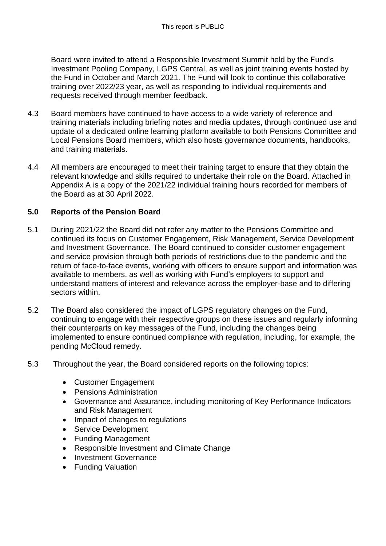Board were invited to attend a Responsible Investment Summit held by the Fund's Investment Pooling Company, LGPS Central, as well as joint training events hosted by the Fund in October and March 2021. The Fund will look to continue this collaborative training over 2022/23 year, as well as responding to individual requirements and requests received through member feedback.

- 4.3 Board members have continued to have access to a wide variety of reference and training materials including briefing notes and media updates, through continued use and update of a dedicated online learning platform available to both Pensions Committee and Local Pensions Board members, which also hosts governance documents, handbooks, and training materials.
- 4.4 All members are encouraged to meet their training target to ensure that they obtain the relevant knowledge and skills required to undertake their role on the Board. Attached in Appendix A is a copy of the 2021/22 individual training hours recorded for members of the Board as at 30 April 2022.

## **5.0 Reports of the Pension Board**

- 5.1 During 2021/22 the Board did not refer any matter to the Pensions Committee and continued its focus on Customer Engagement, Risk Management, Service Development and Investment Governance. The Board continued to consider customer engagement and service provision through both periods of restrictions due to the pandemic and the return of face-to-face events, working with officers to ensure support and information was available to members, as well as working with Fund's employers to support and understand matters of interest and relevance across the employer-base and to differing sectors within.
- 5.2 The Board also considered the impact of LGPS regulatory changes on the Fund, continuing to engage with their respective groups on these issues and regularly informing their counterparts on key messages of the Fund, including the changes being implemented to ensure continued compliance with regulation, including, for example, the pending McCloud remedy.
- 5.3 Throughout the year, the Board considered reports on the following topics:
	- Customer Engagement
	- Pensions Administration
	- Governance and Assurance, including monitoring of Key Performance Indicators and Risk Management
	- Impact of changes to regulations
	- Service Development
	- Funding Management
	- Responsible Investment and Climate Change
	- Investment Governance
	- Funding Valuation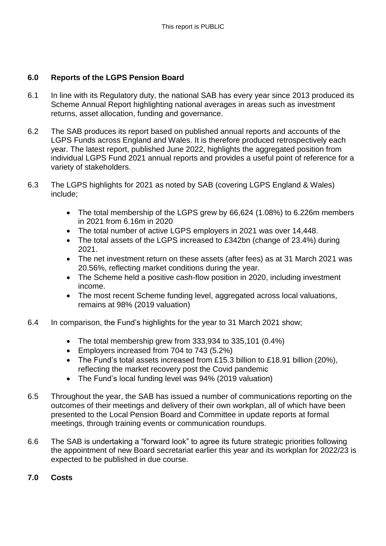### **6.0 Reports of the LGPS Pension Board**

- 6.1 In line with its Regulatory duty, the national SAB has every year since 2013 produced its Scheme Annual Report highlighting national averages in areas such as investment returns, asset allocation, funding and governance.
- 6.2 The SAB produces its report based on published annual reports and accounts of the LGPS Funds across England and Wales. It is therefore produced retrospectively each year. The latest report, published June 2022, highlights the aggregated position from individual LGPS Fund 2021 annual reports and provides a useful point of reference for a variety of stakeholders.
- 6.3 The LGPS highlights for 2021 as noted by SAB (covering LGPS England & Wales) include;
	- The total membership of the LGPS grew by 66,624 (1.08%) to 6.226m members in 2021 from 6.16m in 2020
	- The total number of active LGPS employers in 2021 was over 14,448.
	- The total assets of the LGPS increased to £342bn (change of 23.4%) during 2021.
	- The net investment return on these assets (after fees) as at 31 March 2021 was 20.56%, reflecting market conditions during the year.
	- The Scheme held a positive cash-flow position in 2020, including investment income.
	- The most recent Scheme funding level, aggregated across local valuations, remains at 98% (2019 valuation)
- 6.4 In comparison, the Fund's highlights for the year to 31 March 2021 show;
	- The total membership grew from 333,934 to 335,101 (0.4%)
	- Employers increased from 704 to 743 (5.2%)
	- The Fund's total assets increased from £15.3 billion to £18.91 billion (20%), reflecting the market recovery post the Covid pandemic
	- The Fund's local funding level was 94% (2019 valuation)
- 6.5 Throughout the year, the SAB has issued a number of communications reporting on the outcomes of their meetings and delivery of their own workplan, all of which have been presented to the Local Pension Board and Committee in update reports at formal meetings, through training events or communication roundups.
- 6.6 The SAB is undertaking a "forward look" to agree its future strategic priorities following the appointment of new Board secretariat earlier this year and its workplan for 2022/23 is expected to be published in due course.
- **7.0 Costs**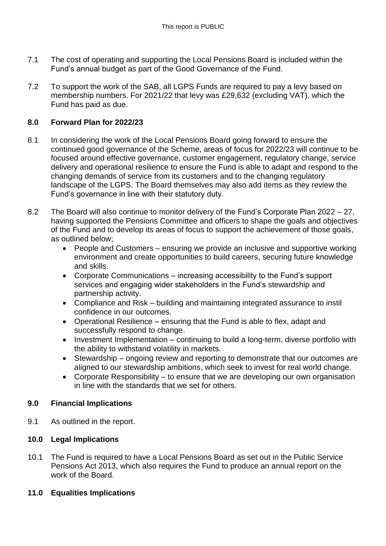- 7.1 The cost of operating and supporting the Local Pensions Board is included within the Fund's annual budget as part of the Good Governance of the Fund.
- 7.2 To support the work of the SAB, all LGPS Funds are required to pay a levy based on membership numbers. For 2021/22 that levy was £29,632 (excluding VAT), which the Fund has paid as due.

## **8.0 Forward Plan for 2022/23**

- 8.1 In considering the work of the Local Pensions Board going forward to ensure the continued good governance of the Scheme, areas of focus for 2022/23 will continue to be focused around effective governance, customer engagement, regulatory change, service delivery and operational resilience to ensure the Fund is able to adapt and respond to the changing demands of service from its customers and to the changing regulatory landscape of the LGPS. The Board themselves may also add items as they review the Fund's governance in line with their statutory duty.
- 8.2 The Board will also continue to monitor delivery of the Fund's Corporate Plan 2022 27, having supported the Pensions Committee and officers to shape the goals and objectives of the Fund and to develop its areas of focus to support the achievement of those goals, as outlined below;
	- People and Customers ensuring we provide an inclusive and supportive working environment and create opportunities to build careers, securing future knowledge and skills.
	- Corporate Communications increasing accessibility to the Fund's support services and engaging wider stakeholders in the Fund's stewardship and partnership activity.
	- Compliance and Risk building and maintaining integrated assurance to instil confidence in our outcomes.
	- Operational Resilience ensuring that the Fund is able to flex, adapt and successfully respond to change.
	- Investment Implementation continuing to build a long-term, diverse portfolio with the ability to withstand volatility in markets.
	- Stewardship ongoing review and reporting to demonstrate that our outcomes are aligned to our stewardship ambitions, which seek to invest for real world change.
	- Corporate Responsibility to ensure that we are developing our own organisation in line with the standards that we set for others.

## **9.0 Financial Implications**

9.1 As outlined in the report.

## **10.0 Legal Implications**

10.1 The Fund is required to have a Local Pensions Board as set out in the Public Service Pensions Act 2013, which also requires the Fund to produce an annual report on the work of the Board.

## **11.0 Equalities Implications**